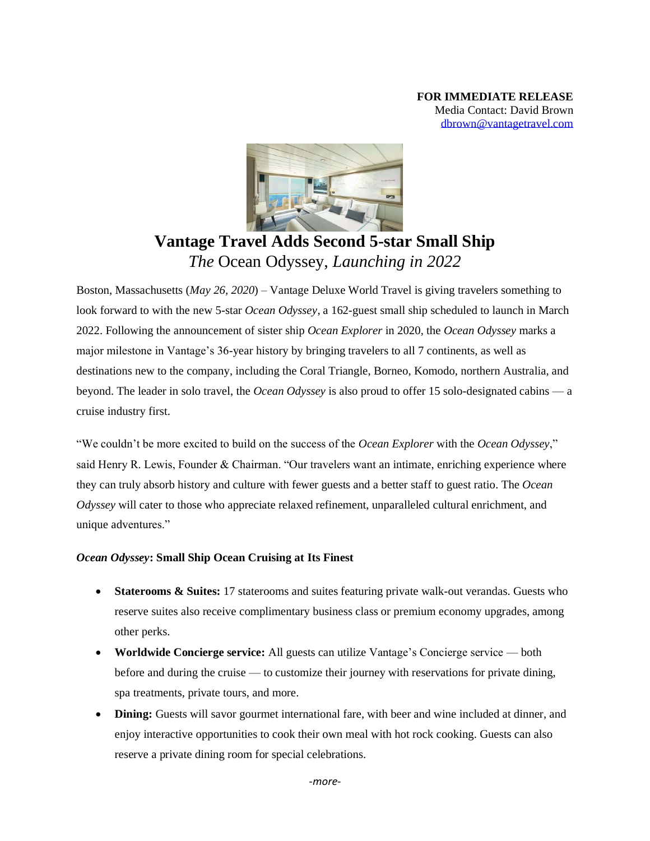

## **Vantage Travel Adds Second 5-star Small Ship**  *The* Ocean Odyssey, *Launching in 2022*

Boston, Massachusetts (*May 26, 2020*) – Vantage Deluxe World Travel is giving travelers something to look forward to with the new 5-star *Ocean Odyssey*, a 162-guest small ship scheduled to launch in March 2022. Following the announcement of sister ship *Ocean Explorer* in 2020, the *Ocean Odyssey* marks a major milestone in Vantage's 36-year history by bringing travelers to all 7 continents, as well as destinations new to the company, including the Coral Triangle, Borneo, Komodo, northern Australia, and beyond. The leader in solo travel, the *Ocean Odyssey* is also proud to offer 15 solo-designated cabins — a cruise industry first.

"We couldn't be more excited to build on the success of the *Ocean Explorer* with the *Ocean Odyssey*," said Henry R. Lewis, Founder & Chairman. "Our travelers want an intimate, enriching experience where they can truly absorb history and culture with fewer guests and a better staff to guest ratio. The *Ocean Odyssey* will cater to those who appreciate relaxed refinement, unparalleled cultural enrichment, and unique adventures."

## *Ocean Odyssey***: Small Ship Ocean Cruising at Its Finest**

- **Staterooms & Suites:** 17 staterooms and suites featuring private walk-out verandas. Guests who reserve suites also receive complimentary business class or premium economy upgrades, among other perks.
- **Worldwide Concierge service:** All guests can utilize Vantage's Concierge service both before and during the cruise — to customize their journey with reservations for private dining, spa treatments, private tours, and more.
- **Dining:** Guests will savor gourmet international fare, with beer and wine included at dinner, and enjoy interactive opportunities to cook their own meal with hot rock cooking. Guests can also reserve a private dining room for special celebrations.